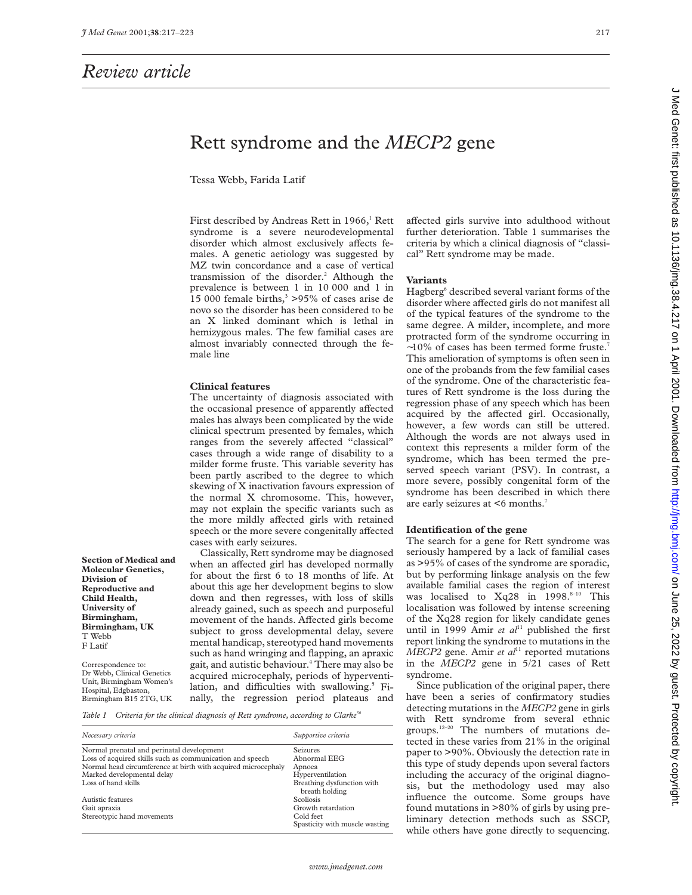**Section of Medical and Molecular Genetics, Division of Reproductive and Child Health, University of Birmingham, Birmingham, UK**

T Webb F Latif

Correspondence to: Dr Webb, Clinical Genetics Unit, Birmingham Women's Hospital, Edgbaston, Birmingham B15 2TG, UK

# Rett syndrome and the *MECP2* gene

Tessa Webb, Farida Latif

First described by Andreas Rett in 1966,<sup>1</sup> Rett syndrome is a severe neurodevelopmental disorder which almost exclusively affects females. A genetic aetiology was suggested by MZ twin concordance and a case of vertical transmission of the disorder.<sup>2</sup> Although the prevalence is between 1 in 10 000 and 1 in 15 000 female births, $3$  >95% of cases arise de novo so the disorder has been considered to be an X linked dominant which is lethal in hemizygous males. The few familial cases are almost invariably connected through the female line

# **Clinical features**

The uncertainty of diagnosis associated with the occasional presence of apparently affected males has always been complicated by the wide clinical spectrum presented by females, which ranges from the severely affected "classical" cases through a wide range of disability to a milder forme fruste. This variable severity has been partly ascribed to the degree to which skewing of X inactivation favours expression of the normal X chromosome. This, however, may not explain the specific variants such as the more mildly affected girls with retained speech or the more severe congenitally affected cases with early seizures.

Classically, Rett syndrome may be diagnosed when an affected girl has developed normally for about the first 6 to 18 months of life. At about this age her development begins to slow down and then regresses, with loss of skills already gained, such as speech and purposeful movement of the hands. Affected girls become subject to gross developmental delay, severe mental handicap, stereotyped hand movements such as hand wringing and flapping, an apraxic gait, and autistic behaviour.4 There may also be acquired microcephaly, periods of hyperventilation, and difficulties with swallowing.<sup>5</sup> Finally, the regression period plateaus and

*Table 1 Criteria for the clinical diagnosis of Rett syndrome, according to Clarke50*

| Necessary criteria                                            | Supportive criteria                          |
|---------------------------------------------------------------|----------------------------------------------|
| Normal prenatal and perinatal development                     | <b>Seizures</b>                              |
| Loss of acquired skills such as communication and speech      | Abnormal EEG                                 |
| Normal head circumference at birth with acquired microcephaly | Apnoea                                       |
| Marked developmental delay                                    | Hyperventilation                             |
| Loss of hand skills                                           | Breathing dysfunction with<br>breath holding |
| Autistic features                                             | <b>Scoliosis</b>                             |
| Gait apraxia                                                  | Growth retardation                           |
| Stereotypic hand movements                                    | Cold feet<br>Spasticity with muscle wasting  |

affected girls survive into adulthood without further deterioration. Table 1 summarises the criteria by which a clinical diagnosis of "classical" Rett syndrome may be made.

#### **Variants**

Hagberg<sup>6</sup> described several variant forms of the disorder where affected girls do not manifest all of the typical features of the syndrome to the same degree. A milder, incomplete, and more protracted form of the syndrome occurring in ∼10% of cases has been termed forme fruste.7 This amelioration of symptoms is often seen in one of the probands from the few familial cases of the syndrome. One of the characteristic features of Rett syndrome is the loss during the regression phase of any speech which has been acquired by the affected girl. Occasionally, however, a few words can still be uttered. Although the words are not always used in context this represents a milder form of the syndrome, which has been termed the preserved speech variant (PSV). In contrast, a more severe, possibly congenital form of the syndrome has been described in which there are early seizures at <6 months.7

#### **Identification of the gene**

The search for a gene for Rett syndrome was seriously hampered by a lack of familial cases as >95% of cases of the syndrome are sporadic, but by performing linkage analysis on the few available familial cases the region of interest was localised to Xq28 in 1998.8-10 This localisation was followed by intense screening of the Xq28 region for likely candidate genes until in 1999 Amir *et al*<sup>11</sup> published the first report linking the syndrome to mutations in the *MECP2* gene. Amir *et al*<sup>11</sup> reported mutations in the *MECP2* gene in 5/21 cases of Rett syndrome.

Since publication of the original paper, there have been a series of confirmatory studies detecting mutations in the *MECP2* gene in girls with Rett syndrome from several ethnic groups. $12-20$  The numbers of mutations detected in these varies from 21% in the original paper to >90%. Obviously the detection rate in this type of study depends upon several factors including the accuracy of the original diagnosis, but the methodology used may also influence the outcome. Some groups have found mutations in >80% of girls by using preliminary detection methods such as SSCP, while others have gone directly to sequencing.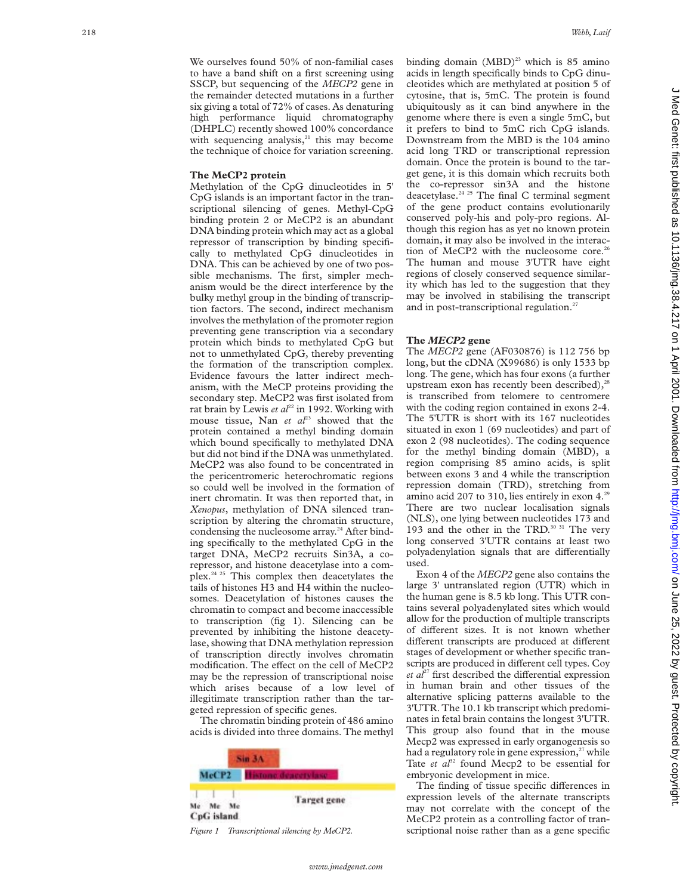We ourselves found 50% of non-familial cases to have a band shift on a first screening using SSCP, but sequencing of the *MECP2* gene in the remainder detected mutations in a further six giving a total of 72% of cases. As denaturing high performance liquid chromatography (DHPLC) recently showed 100% concordance with sequencing analysis, $^{21}$  this may become the technique of choice for variation screening.

# **The MeCP2 protein**

Methylation of the CpG dinucleotides in 5' CpG islands is an important factor in the transcriptional silencing of genes. Methyl-CpG binding protein 2 or MeCP2 is an abundant DNA binding protein which may act as a global repressor of transcription by binding specifically to methylated CpG dinucleotides in DNA. This can be achieved by one of two possible mechanisms. The first, simpler mechanism would be the direct interference by the bulky methyl group in the binding of transcription factors. The second, indirect mechanism involves the methylation of the promoter region preventing gene transcription via a secondary protein which binds to methylated CpG but not to unmethylated CpG, thereby preventing the formation of the transcription complex. Evidence favours the latter indirect mechanism, with the MeCP proteins providing the secondary step. MeCP2 was first isolated from rat brain by Lewis *et al*<sup>22</sup> in 1992. Working with mouse tissue, Nan *et al*<sup>23</sup> showed that the protein contained a methyl binding domain which bound specifically to methylated DNA but did not bind if the DNA was unmethylated. MeCP2 was also found to be concentrated in the pericentromeric heterochromatic regions so could well be involved in the formation of inert chromatin. It was then reported that, in *Xenopus*, methylation of DNA silenced transcription by altering the chromatin structure, condensing the nucleosome array.<sup>24</sup> After binding specifically to the methylated CpG in the target DNA, MeCP2 recruits Sin3A, a corepressor, and histone deacetylase into a complex.24 25 This complex then deacetylates the tails of histones H3 and H4 within the nucleosomes. Deacetylation of histones causes the chromatin to compact and become inaccessible to transcription (fig 1). Silencing can be prevented by inhibiting the histone deacetylase, showing that DNA methylation repression of transcription directly involves chromatin modification. The effect on the cell of MeCP2 may be the repression of transcriptional noise which arises because of a low level of illegitimate transcription rather than the targeted repression of specific genes.

The chromatin binding protein of 486 amino acids is divided into three domains. The methyl

| McCP <sub>2</sub> |                    |
|-------------------|--------------------|
| CpG island        | <b>Target gene</b> |

binding domain  $(MBD)^{23}$  which is 85 amino acids in length specifically binds to CpG dinucleotides which are methylated at position 5 of cytosine, that is, 5mC. The protein is found ubiquitously as it can bind anywhere in the genome where there is even a single 5mC, but it prefers to bind to 5mC rich CpG islands. Downstream from the MBD is the 104 amino acid long TRD or transcriptional repression domain. Once the protein is bound to the target gene, it is this domain which recruits both the co-repressor sin3A and the histone deacetylase.<sup>24 25</sup> The final C terminal segment of the gene product contains evolutionarily conserved poly-his and poly-pro regions. Although this region has as yet no known protein domain, it may also be involved in the interaction of MeCP2 with the nucleosome core.<sup>26</sup> The human and mouse 3'UTR have eight regions of closely conserved sequence similarity which has led to the suggestion that they may be involved in stabilising the transcript and in post-transcriptional regulation. $27$ 

# **The** *MECP2* **gene**

The *MECP2* gene (AF030876) is 112 756 bp long, but the cDNA (X99686) is only 1533 bp long. The gene, which has four exons (a further upstream exon has recently been described), $^{28}$ is transcribed from telomere to centromere with the coding region contained in exons 2-4. The 5'UTR is short with its 167 nucleotides situated in exon 1 (69 nucleotides) and part of exon 2 (98 nucleotides). The coding sequence for the methyl binding domain (MBD), a region comprising 85 amino acids, is split between exons 3 and 4 while the transcription repression domain (TRD), stretching from amino acid 207 to 310, lies entirely in exon 4.<sup>29</sup> There are two nuclear localisation signals (NLS), one lying between nucleotides 173 and 193 and the other in the TRD.<sup>30 31</sup> The very long conserved 3'UTR contains at least two polyadenylation signals that are differentially used.

Exon 4 of the *MECP2* gene also contains the large 3' untranslated region (UTR) which in the human gene is 8.5 kb long. This UTR contains several polyadenylated sites which would allow for the production of multiple transcripts of different sizes. It is not known whether different transcripts are produced at different stages of development or whether specific transcripts are produced in different cell types. Coy et al<sup>27</sup> first described the differential expression in human brain and other tissues of the alternative splicing patterns available to the 3'UTR. The 10.1 kb transcript which predominates in fetal brain contains the longest 3'UTR. This group also found that in the mouse Mecp2 was expressed in early organogenesis so had a regulatory role in gene expression, $27$  while Tate *et al*<sup>32</sup> found Mecp2 to be essential for embryonic development in mice.

The finding of tissue specific differences in expression levels of the alternate transcripts may not correlate with the concept of the MeCP2 protein as a controlling factor of tran-*Figure 1* Transcriptional silencing by MeCP2. scriptional noise rather than as a gene specific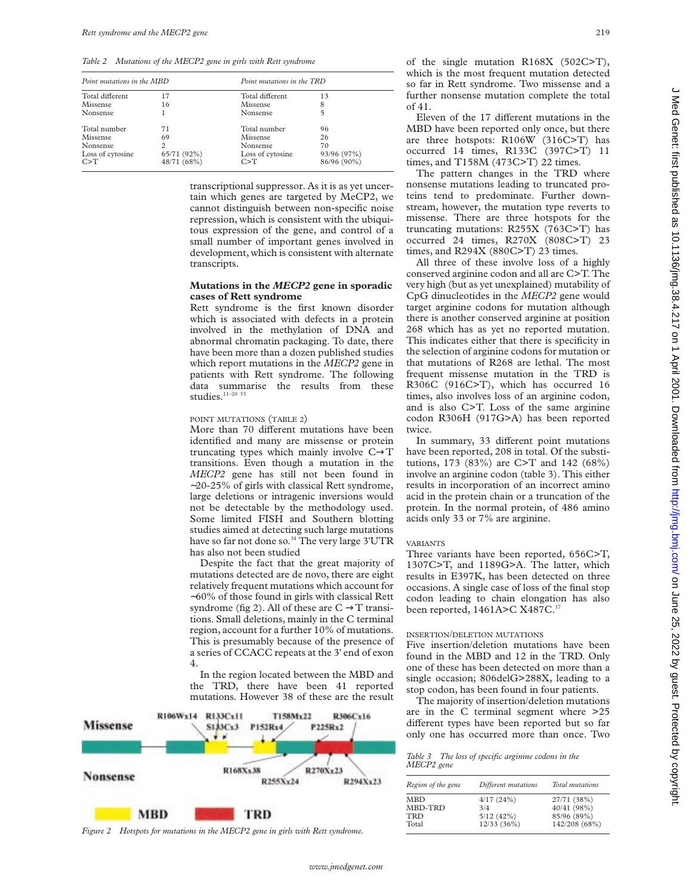*Table 2 Mutations of the MECP2 gene in girls with Rett syndrome*

| Point mutations in the MBD |                |                  | Point mutations in the TRD |  |  |
|----------------------------|----------------|------------------|----------------------------|--|--|
| Total different            | 17             | Total different  | 13                         |  |  |
| Missense                   | 16             | Missense         | 8                          |  |  |
| Nonsense                   |                | Nonsense         | 5                          |  |  |
| Total number               | 71             | Total number     | 96                         |  |  |
| Missense                   | 69             | Missense         | 26                         |  |  |
| Nonsense                   | $\overline{c}$ | Nonsense         | 70                         |  |  |
| Loss of cytosine           | 65/71 (92%)    | Loss of cytosine | 93/96 (97%)                |  |  |
| C > T                      | 48/71 (68%)    | C > T            | 86/96 (90%)                |  |  |

transcriptional suppressor. As it is as yet uncertain which genes are targeted by MeCP2, we cannot distinguish between non-specific noise repression, which is consistent with the ubiquitous expression of the gene, and control of a small number of important genes involved in development, which is consistent with alternate transcripts.

# **Mutations in the** *MECP2* **gene in sporadic cases of Rett syndrome**

Rett syndrome is the first known disorder which is associated with defects in a protein involved in the methylation of DNA and abnormal chromatin packaging. To date, there have been more than a dozen published studies which report mutations in the *MECP2* gene in patients with Rett syndrome. The following data summarise the results from these studies.<sup>11-20</sup> 33

#### POINT MUTATIONS (TABLE 2)

More than 70 different mutations have been identified and many are missense or protein truncating types which mainly involve C→T transitions. Even though a mutation in the *MECP2* gene has still not been found in ∼20-25% of girls with classical Rett syndrome, large deletions or intragenic inversions would not be detectable by the methodology used. Some limited FISH and Southern blotting studies aimed at detecting such large mutations have so far not done so.<sup>34</sup> The very large 3'UTR has also not been studied

Despite the fact that the great majority of mutations detected are de novo, there are eight relatively frequent mutations which account for ∼60% of those found in girls with classical Rett syndrome (fig 2). All of these are  $C \rightarrow T$  transitions. Small deletions, mainly in the C terminal region, account for a further 10% of mutations. This is presumably because of the presence of a series of CCACC repeats at the 3' end of exon 4.

In the region located between the MBD and the TRD, there have been 41 reported mutations. However 38 of these are the result



*Figure 2 Hotspots for mutations in the MECP2 gene in girls with Rett syndrome.*

of the single mutation R168X (502C>T), which is the most frequent mutation detected so far in Rett syndrome. Two missense and a further nonsense mutation complete the total of 41.

Eleven of the 17 different mutations in the MBD have been reported only once, but there are three hotspots: R106W (316C>T) has occurred 14 times, R133C (397C>T) 11 times, and T158M (473C>T) 22 times.

The pattern changes in the TRD where nonsense mutations leading to truncated proteins tend to predominate. Further downstream, however, the mutation type reverts to missense. There are three hotspots for the truncating mutations: R255X (763C>T) has occurred 24 times, R270X (808C>T) 23 times, and R294X (880C>T) 23 times.

All three of these involve loss of a highly conserved arginine codon and all are C>T. The very high (but as yet unexplained) mutability of CpG dinucleotides in the *MECP2* gene would target arginine codons for mutation although there is another conserved arginine at position 268 which has as yet no reported mutation. This indicates either that there is specificity in the selection of arginine codons for mutation or that mutations of R268 are lethal. The most frequent missense mutation in the TRD is R306C (916C>T), which has occurred 16 times, also involves loss of an arginine codon, and is also C>T. Loss of the same arginine codon R306H (917G>A) has been reported twice.

In summary, 33 different point mutations have been reported, 208 in total. Of the substitutions, 173 (83%) are C>T and 142 (68%) involve an arginine codon (table 3). This either results in incorporation of an incorrect amino acid in the protein chain or a truncation of the protein. In the normal protein, of 486 amino acids only 33 or 7% are arginine.

#### VARIANTS

Three variants have been reported, 656C>T, 1307C>T, and 1189G>A. The latter, which results in E397K, has been detected on three occasions. A single case of loss of the final stop codon leading to chain elongation has also been reported, 1461A>C X487C.<sup>17</sup>

#### INSERTION/DELETION MUTATIONS

Five insertion/deletion mutations have been found in the MBD and 12 in the TRD. Only one of these has been detected on more than a single occasion; 806delG>288X, leading to a stop codon, has been found in four patients.

The majority of insertion/deletion mutations are in the C terminal segment where >25 different types have been reported but so far only one has occurred more than once. Two

*Table 3 The loss of specific arginine codons in the MECP2 gene*

| Region of the gene    | Different mutations           | Total mutations                           |
|-----------------------|-------------------------------|-------------------------------------------|
| MBD<br>MBD-TRD<br>TRD | 4/17(24%)<br>3/4<br>5/12(42%) | 27/71 (38%)<br>40/41 (98%)<br>85/96 (89%) |
| Total                 | 12/33(36%)                    | 142/208 (68%)                             |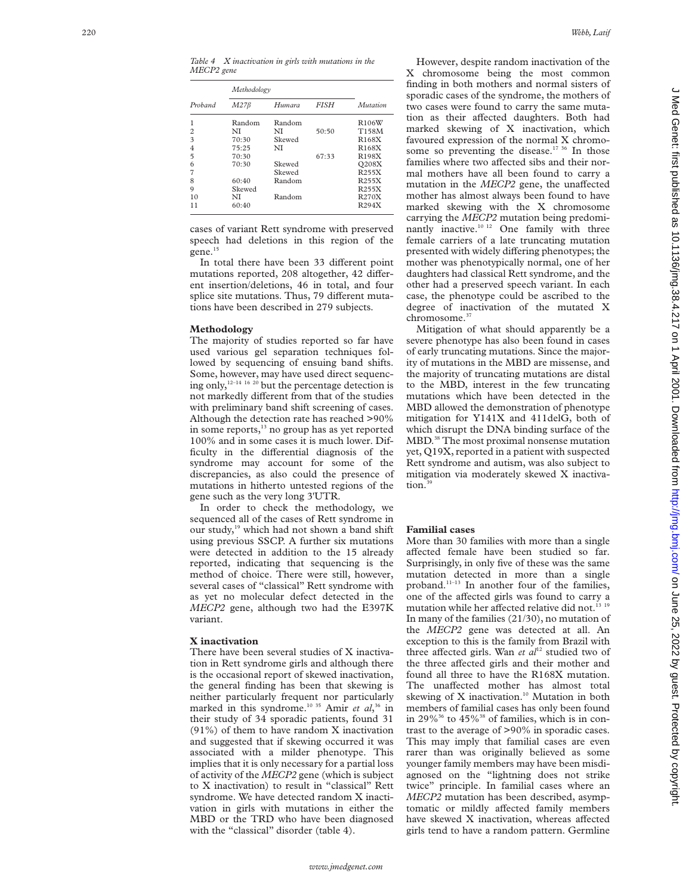*Table 4 X inactivation in girls with mutations in the MECP2 gene*

|                | Methodology |        |             |                    |
|----------------|-------------|--------|-------------|--------------------|
| Proband        | $M27\beta$  | Humara | <b>FISH</b> | Mutation           |
| 1              | Random      | Random |             | R106W              |
| $\overline{c}$ | NI          | NI     | 50:50       | T158M              |
| 3              | 70:30       | Skewed |             | R168X              |
| $\overline{4}$ | 75:25       | NI     |             | R <sub>168</sub> X |
| 5              | 70:30       |        | 67:33       | R198X              |
| 6              | 70:30       | Skewed |             | Q208X              |
| 7              |             | Skewed |             | R255X              |
| 8              | 60:40       | Random |             | R255X              |
| 9              | Skewed      |        |             | R255X              |
| 10             | NI          | Random |             | R270X              |
| 11             | 60:40       |        |             | R294X              |

cases of variant Rett syndrome with preserved speech had deletions in this region of the gene.<sup>15</sup>

In total there have been 33 different point mutations reported, 208 altogether, 42 different insertion/deletions, 46 in total, and four splice site mutations. Thus, 79 different mutations have been described in 279 subjects.

## **Methodology**

The majority of studies reported so far have used various gel separation techniques followed by sequencing of ensuing band shifts. Some, however, may have used direct sequencing only,  $12-14$  16  $20$  but the percentage detection is not markedly different from that of the studies with preliminary band shift screening of cases. Although the detection rate has reached >90% in some reports,<sup>13</sup> no group has as yet reported 100% and in some cases it is much lower. Difficulty in the differential diagnosis of the syndrome may account for some of the discrepancies, as also could the presence of mutations in hitherto untested regions of the gene such as the very long 3'UTR.

In order to check the methodology, we sequenced all of the cases of Rett syndrome in our study,<sup>19</sup> which had not shown a band shift using previous SSCP. A further six mutations were detected in addition to the 15 already reported, indicating that sequencing is the method of choice. There were still, however, several cases of "classical" Rett syndrome with as yet no molecular defect detected in the *MECP2* gene, although two had the E397K variant.

### **X inactivation**

There have been several studies of X inactivation in Rett syndrome girls and although there is the occasional report of skewed inactivation, the general finding has been that skewing is neither particularly frequent nor particularly marked in this syndrome.10 35 Amir *et al*, <sup>36</sup> in their study of 34 sporadic patients, found 31 (91%) of them to have random X inactivation and suggested that if skewing occurred it was associated with a milder phenotype. This implies that it is only necessary for a partial loss of activity of the *MECP2* gene (which is subject to X inactivation) to result in "classical" Rett syndrome. We have detected random X inactivation in girls with mutations in either the MBD or the TRD who have been diagnosed with the "classical" disorder (table 4).

However, despite random inactivation of the X chromosome being the most common finding in both mothers and normal sisters of sporadic cases of the syndrome, the mothers of two cases were found to carry the same mutation as their affected daughters. Both had marked skewing of X inactivation, which favoured expression of the normal X chromosome so preventing the disease.<sup>17 36</sup> In those families where two affected sibs and their normal mothers have all been found to carry a mutation in the MECP2 gene, the unaffected mother has almost always been found to have marked skewing with the X chromosome carrying the *MECP2* mutation being predominantly inactive.10 12 One family with three female carriers of a late truncating mutation presented with widely differing phenotypes; the mother was phenotypically normal, one of her daughters had classical Rett syndrome, and the other had a preserved speech variant. In each case, the phenotype could be ascribed to the degree of inactivation of the mutated X chromosome.<sup>37</sup>

Mitigation of what should apparently be a severe phenotype has also been found in cases of early truncating mutations. Since the majority of mutations in the MBD are missense, and the majority of truncating mutations are distal to the MBD, interest in the few truncating mutations which have been detected in the MBD allowed the demonstration of phenotype mitigation for Y141X and 411delG, both of which disrupt the DNA binding surface of the MBD.38 The most proximal nonsense mutation yet, Q19X, reported in a patient with suspected Rett syndrome and autism, was also subject to mitigation via moderately skewed X inactivation.<sup>39</sup>

## **Familial cases**

More than 30 families with more than a single affected female have been studied so far. Surprisingly, in only five of these was the same mutation detected in more than a single proband.11–13 In another four of the families, one of the affected girls was found to carry a mutation while her affected relative did not.<sup>13 19</sup> In many of the families (21/30), no mutation of the *MECP2* gene was detected at all. An exception to this is the family from Brazil with three affected girls. Wan *et al*<sup>12</sup> studied two of the three affected girls and their mother and found all three to have the R168X mutation. The unaffected mother has almost total skewing of X inactivation.<sup>10</sup> Mutation in both members of familial cases has only been found in 29%<sup>36</sup> to 45%<sup>38</sup> of families, which is in contrast to the average of >90% in sporadic cases. This may imply that familial cases are even rarer than was originally believed as some younger family members may have been misdiagnosed on the "lightning does not strike twice" principle. In familial cases where an *MECP2* mutation has been described, asymptomatic or mildly affected family members have skewed X inactivation, whereas affected girls tend to have a random pattern. Germline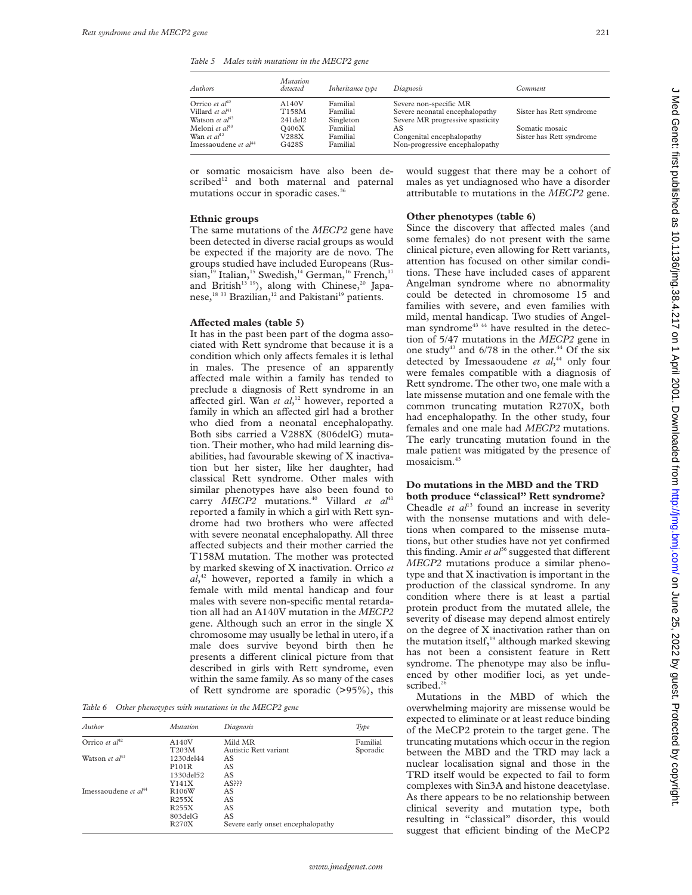*Table 5 Males with mutations in the MECP2 gene*

| Authors                           | <b>Mutation</b><br>detected | Inheritance type | Diagnosis                        | <i>Comment</i>           |
|-----------------------------------|-----------------------------|------------------|----------------------------------|--------------------------|
| Orrico et $al^{42}$               | A140V                       | Familial         | Severe non-specific MR           |                          |
| Villard et $al41$                 | T158M                       | Familial         | Severe neonatal encephalopathy   | Sister has Rett syndrome |
| Watson <i>et al</i> <sup>43</sup> | $241$ del $2$               | Singleton        | Severe MR progressive spasticity |                          |
| Meloni <i>et al</i> <sup>40</sup> | O406X                       | Familial         | AS                               | Somatic mosaic           |
| Wan et $al^{12}$                  | V288X                       | Familial         | Congenital encephalopathy        | Sister has Rett syndrome |
| Imessaoudene et $aI^{44}$         | G428S                       | Familial         | Non-progressive encephalopathy   |                          |

or somatic mosaicism have also been described<sup>12</sup> and both maternal and paternal mutations occur in sporadic cases.<sup>36</sup>

## **Ethnic groups**

The same mutations of the *MECP2* gene have been detected in diverse racial groups as would be expected if the majority are de novo. The groups studied have included Europeans (Russian,<sup>19</sup> Italian,<sup>15</sup> Swedish,<sup>14</sup> German,<sup>16</sup> French,<sup>17</sup> and British<sup>13 19</sup>), along with Chinese,<sup>20</sup> Japanese,<sup>18 33</sup> Brazilian,<sup>12</sup> and Pakistani<sup>19</sup> patients.

#### **AVected males (table 5)**

It has in the past been part of the dogma associated with Rett syndrome that because it is a condition which only affects females it is lethal in males. The presence of an apparently affected male within a family has tended to preclude a diagnosis of Rett syndrome in an affected girl. Wan et al,<sup>12</sup> however, reported a family in which an affected girl had a brother who died from a neonatal encephalopathy. Both sibs carried a V288X (806delG) mutation. Their mother, who had mild learning disabilities, had favourable skewing of X inactivation but her sister, like her daughter, had classical Rett syndrome. Other males with similar phenotypes have also been found to carry *MECP2* mutations.<sup>40</sup> Villard *et al*<sup>41</sup> reported a family in which a girl with Rett syndrome had two brothers who were affected with severe neonatal encephalopathy. All three affected subjects and their mother carried the T158M mutation. The mother was protected by marked skewing of X inactivation. Orrico *et al*, <sup>42</sup> however, reported a family in which a female with mild mental handicap and four males with severe non-specific mental retardation all had an A140V mutation in the *MECP2* gene. Although such an error in the single X chromosome may usually be lethal in utero, if a male does survive beyond birth then he presents a different clinical picture from that described in girls with Rett syndrome, even within the same family. As so many of the cases of Rett syndrome are sporadic (>95%), this

*Table 6 Other phenotypes with mutations in the MECP2 gene*

| Author                            | <i>Mutation</i>    | Diagnosis                         | Type     |
|-----------------------------------|--------------------|-----------------------------------|----------|
| Orrico et $al^{42}$               | A140V              | Mild MR                           | Familial |
|                                   | T203M              | Autistic Rett variant             | Sporadic |
| Watson <i>et al</i> <sup>43</sup> | 1230del44          | AS                                |          |
|                                   | P <sub>101</sub> R | AS                                |          |
|                                   | 1330del52          | AS                                |          |
|                                   | Y141X              | AS <sub>222</sub>                 |          |
| Imessaoudene et $aI^{44}$         | R106W              | AS                                |          |
|                                   | R <sub>255</sub> X | AS                                |          |
|                                   | R <sub>255</sub> X | AS                                |          |
|                                   | 803delG            | AS                                |          |
|                                   | R270X              | Severe early onset encephalopathy |          |

would suggest that there may be a cohort of males as yet undiagnosed who have a disorder attributable to mutations in the *MECP2* gene.

# **Other phenotypes (table 6)**

Since the discovery that affected males (and some females) do not present with the same clinical picture, even allowing for Rett variants, attention has focused on other similar conditions. These have included cases of apparent Angelman syndrome where no abnormality could be detected in chromosome 15 and families with severe, and even families with mild, mental handicap. Two studies of Angelman syndrome<sup>43 44</sup> have resulted in the detection of 5/47 mutations in the *MECP2* gene in one study<sup>43</sup> and  $6/78$  in the other.<sup>44</sup> Of the six detected by Imessaoudene *et al*, <sup>44</sup> only four were females compatible with a diagnosis of Rett syndrome. The other two, one male with a late missense mutation and one female with the common truncating mutation R270X, both had encephalopathy. In the other study, four females and one male had *MECP2* mutations. The early truncating mutation found in the male patient was mitigated by the presence of mosaicism.<sup>43</sup>

## **Do mutations in the MBD and the TRD both produce "classical" Rett syndrome?**

Cheadle *et al*<sup>13</sup> found an increase in severity with the nonsense mutations and with deletions when compared to the missense mutations, but other studies have not yet confirmed this finding. Amir  $et$   $a^{j6}$  suggested that different *MECP2* mutations produce a similar phenotype and that X inactivation is important in the production of the classical syndrome. In any condition where there is at least a partial protein product from the mutated allele, the severity of disease may depend almost entirely on the degree of X inactivation rather than on the mutation itself,<sup>19</sup> although marked skewing has not been a consistent feature in Rett syndrome. The phenotype may also be influenced by other modifier loci, as yet undescribed.<sup>2</sup>

Mutations in the MBD of which the overwhelming majority are missense would be expected to eliminate or at least reduce binding of the MeCP2 protein to the target gene. The truncating mutations which occur in the region between the MBD and the TRD may lack a nuclear localisation signal and those in the TRD itself would be expected to fail to form complexes with Sin3A and histone deacetylase. As there appears to be no relationship between clinical severity and mutation type, both resulting in "classical" disorder, this would suggest that efficient binding of the MeCP2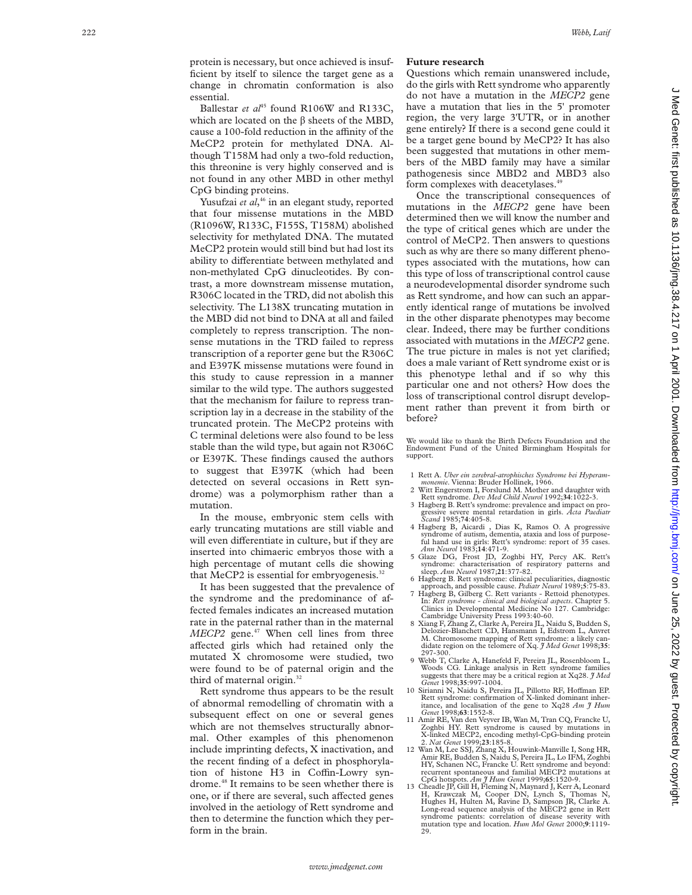protein is necessary, but once achieved is insufficient by itself to silence the target gene as a change in chromatin conformation is also essential.

Ballestar *et al*<sup>45</sup> found R106W and R133C, which are located on the  $\beta$  sheets of the MBD, cause a 100-fold reduction in the affinity of the MeCP2 protein for methylated DNA. Although T158M had only a two-fold reduction, this threonine is very highly conserved and is not found in any other MBD in other methyl CpG binding proteins.

Yusufzai *et al*, <sup>46</sup> in an elegant study, reported that four missense mutations in the MBD (R1096W, R133C, F155S, T158M) abolished selectivity for methylated DNA. The mutated MeCP2 protein would still bind but had lost its ability to differentiate between methylated and non-methylated CpG dinucleotides. By contrast, a more downstream missense mutation, R306C located in the TRD, did not abolish this selectivity. The L138X truncating mutation in the MBD did not bind to DNA at all and failed completely to repress transcription. The nonsense mutations in the TRD failed to repress transcription of a reporter gene but the R306C and E397K missense mutations were found in this study to cause repression in a manner similar to the wild type. The authors suggested that the mechanism for failure to repress transcription lay in a decrease in the stability of the truncated protein. The MeCP2 proteins with C terminal deletions were also found to be less stable than the wild type, but again not R306C or E397K. These findings caused the authors to suggest that E397K (which had been detected on several occasions in Rett syndrome) was a polymorphism rather than a mutation.

In the mouse, embryonic stem cells with early truncating mutations are still viable and will even differentiate in culture, but if they are inserted into chimaeric embryos those with a high percentage of mutant cells die showing that MeCP2 is essential for embryogenesis. $32$ 

It has been suggested that the prevalence of the syndrome and the predominance of affected females indicates an increased mutation rate in the paternal rather than in the maternal *MECP2* gene.<sup>47</sup> When cell lines from three affected girls which had retained only the mutated X chromosome were studied, two were found to be of paternal origin and the third of maternal origin.<sup>32</sup>

Rett syndrome thus appears to be the result of abnormal remodelling of chromatin with a subsequent effect on one or several genes which are not themselves structurally abnormal. Other examples of this phenomenon include imprinting defects, X inactivation, and the recent finding of a defect in phosphorylation of histone H3 in Coffin-Lowry syndrome.48 It remains to be seen whether there is one, or if there are several, such affected genes involved in the aetiology of Rett syndrome and then to determine the function which they perform in the brain.

# **Future research**

Questions which remain unanswered include, do the girls with Rett syndrome who apparently do not have a mutation in the *MECP2* gene have a mutation that lies in the 5' promoter region, the very large 3'UTR, or in another gene entirely? If there is a second gene could it be a target gene bound by MeCP2? It has also been suggested that mutations in other members of the MBD family may have a similar pathogenesis since MBD2 and MBD3 also form complexes with deacetylases.<sup>4</sup>

Once the transcriptional consequences of mutations in the *MECP2* gene have been determined then we will know the number and the type of critical genes which are under the control of MeCP2. Then answers to questions such as why are there so many different phenotypes associated with the mutations, how can this type of loss of transcriptional control cause a neurodevelopmental disorder syndrome such as Rett syndrome, and how can such an apparently identical range of mutations be involved in the other disparate phenotypes may become clear. Indeed, there may be further conditions associated with mutations in the *MECP2* gene. The true picture in males is not yet clarified; does a male variant of Rett syndrome exist or is this phenotype lethal and if so why this particular one and not others? How does the loss of transcriptional control disrupt development rather than prevent it from birth or before?

We would like to thank the Birth Defects Foundation and the Endowment Fund of the United Birmingham Hospitals for support.

- 1 Rett A. *Uber ein zerebral-atrophisches Syndrome bei Hyperammonemie*. Vienna: Bruder Hollinek, 1966.
- 2 Witt Engerstrom I, Forslund M. Mother and daughter with
- Rett syndrome. *Dev Med Child Neurol* 1992;34:1022-3.<br>3 Hagberg B. Rett's syndrome: prevalence and impact on pro-
- gressive severe mental retardation in girls. *Acta Paediatr Scand* 1985;**74**:405-8.
- 4 Hagberg B, Aicardi , Dias K, Ramos O. A progressive syndrome of autism, dementia, ataxia and loss of purposeful hand use in girls: Rett's syndrome: report of 35 cases.<br>Ann Neurol 1983;14:471-9.
- 5 Glaze DG, Frost JD, Zoghbi HY, Percy AK. Rett's syndrome: characterisation of respiratory patterns and sleep. Ann Neurol 1987;21:377-82.
- 6 Hagberg B. Rett syndrome: clinical peculiarities, diagnostic
- approach, and possible cause. *Pediatr Neurol* 1989; **5**:75-83. 7 Hagberg B, Gilberg C. Rett variants Rettoid phenotypes. In: *Rett syndrome clinical and biological aspects*. Chapter 5. Clinics in Developmental Medicine No 127. Cambridge:
- Cambridge University Press 1993:40-60. 8 Xiang F, Zhang Z, Clarke A, Pereira JL, Naidu S, Budden S, Delozier-Blanchett CD, Hansmann I, Edstrom L, Anvret M. Chromosome mapping of Rett syndrome: a likely candidate region on the telomere of Xq. *J Med Genet* 1998;**35**:
- 297-300. 9 Webb T, Clarke A, Hanefeld F, Pereira JL, Rosenbloom L, Woods CG. Linkage analysis in Rett syndrome families suggests that there may be a critical region at Xq28. *J Med Genet* 1998;35:997-1004.<br>10 Sirianni N, Naidu S, Pereira JL, Pillotto RF, Hoffman EP.
- Rett syndrome: confirmation of X-linked dominant inheritance, and localisation of the gene to Xq28 *Am J Hum Genet* 1998;**63**:1552-8. 11 Amir RE, Van den Veyver IB, Wan M, Tran CQ, Francke U,
- Zoghbi HY. Rett syndrome is caused by mutations in X-linked MECP2, encoding methyl-CpG-binding protein 2. *Nat Genet* 1999;**23**:185-8.
- 12 Wan M, Lee SSJ, Zhang X, Houwink-Manville I, Song HR, Amir RE, Budden S, Naidu S, Pereira JL, Lo IFM, Zoghbi HY, Schanen NC, Francke U. Rett syndrome and beyond: recurrent spontaneous and familial MECP2 mutations at
- CpG hotspots. *Am J Hum Genet* 1999;65:1520-9.<br>
13 Cheadle JP, Gill H, Fleming N, Maynard J, Kerr A, Leonard<br>
H, Krawczak M, Cooper DN, Lynch S, Thomas N,<br>
Hughes H, Hulten M, Ravine D, Sampson JR, Clarke A. Long-read sequence analysis of the MECP2 gene in Rett syndrome patients: correlation of disease severity with mutation type and location. *Hum Mol Genet* 2000; **9**:1119-  $20$